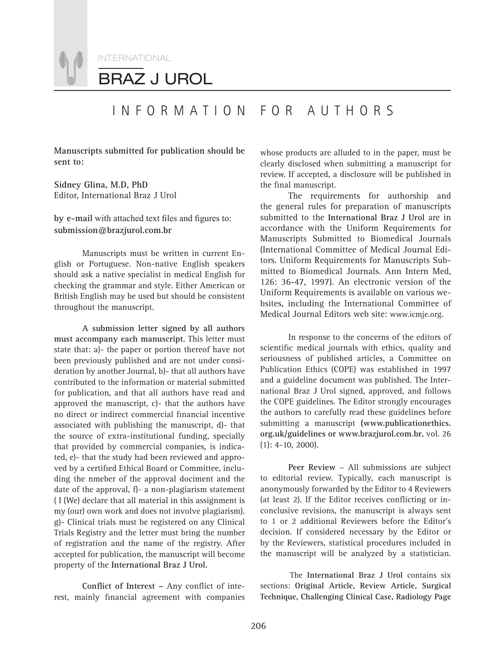INTERNATIONAL

BRAZ J UROL

## INFORMATION FOR AUTHORS

**Manuscripts submitted for publication should be sent to:**

**Sidney Glina, M.D, PhD** Editor, International Braz J Urol

by e-mail with attached text files and figures to: **submission@brazjurol.com.br**

Manuscripts must be written in current English or Portuguese. Non-native English speakers should ask a native specialist in medical English for checking the grammar and style. Either American or British English may be used but should be consistent throughout the manuscript.

**A submission letter signed by all authors must accompany each manuscript.** This letter must state that: a)- the paper or portion thereof have not been previously published and are not under consideration by another Journal, b)- that all authors have contributed to the information or material submitted for publication, and that all authors have read and approved the manuscript, c)- that the authors have no direct or indirect commercial financial incentive associated with publishing the manuscript, d)- that the source of extra-institutional funding, specially that provided by commercial companies, is indicated, e)- that the study had been reviewed and approved by a certified Ethical Board or Committee, including the nmeber of the approval dociment and the date of the approval, f)- a non-plagiarism statement ( I (We) declare that all material in this assignment is my (our) own work and does not involve plagiarism). g)- Clinical trials must be registered on any Clinical Trials Registry and the letter must bring the number of registration and the name of the registry. After accepted for publication, the manuscript will become property of the **International Braz J Urol.**

Conflict of Interest - Any conflict of interest, mainly financial agreement with companies whose products are alluded to in the paper, must be clearly disclosed when submitting a manuscript for review. If accepted, a disclosure will be published in the final manuscript.

The requirements for authorship and the general rules for preparation of manuscripts submitted to the **International Braz J Urol** are in accordance with the Uniform Requirements for Manuscripts Submitted to Biomedical Journals (International Committee of Medical Journal Editors. Uniform Requirements for Manuscripts Submitted to Biomedical Journals. Ann Intern Med, 126: 36-47, 1997). An electronic version of the Uniform Requirements is available on various websites, including the International Committee of Medical Journal Editors web site: www.icmje.org.

In response to the concerns of the editors of scientific medical journals with ethics, quality and seriousness of published articles, a Committee on Publication Ethics (COPE) was established in 1997 and a guideline document was published. The International Braz J Urol signed, approved, and follows the COPE guidelines. The Editor strongly encourages the authors to carefully read these guidelines before submitting a manuscript **(www.publicationethics. org.uk/guidelines or www.brazjurol.com.br**, vol. 26 (1): 4-10, 2000).

**Peer Review** – All submissions are subject to editorial review. Typically, each manuscript is anonymously forwarded by the Editor to 4 Reviewers (at least 2). If the Editor receives conflicting or inconclusive revisions, the manuscript is always sent to 1 or 2 additional Reviewers before the Editor's decision. If considered necessary by the Editor or by the Reviewers, statistical procedures included in the manuscript will be analyzed by a statistician.

The **International Braz J Urol** contains six sections: **Original Article, Review Article, Surgical Technique, Challenging Clinical Case, Radiology Page**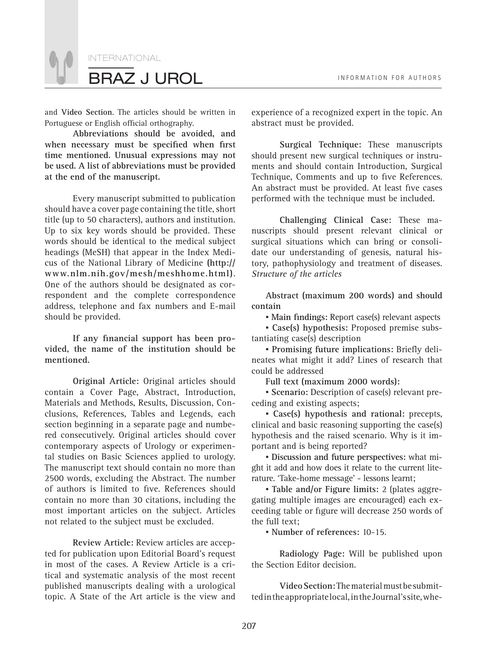

and **Video Section**. The articles should be written in Portuguese or English official orthography.

**Abbreviations should be avoided, and**  when necessary must be specified when first **time mentioned. Unusual expressions may not be used. A list of abbreviations must be provided at the end of the manuscript.** 

Every manuscript submitted to publication should have a cover page containing the title, short title (up to 50 characters), authors and institution. Up to six key words should be provided. These words should be identical to the medical subject headings (MeSH) that appear in the Index Medicus of the National Library of Medicine **(http:// www.nlm.nih.gov/mesh/meshhome.html)**. One of the authors should be designated as correspondent and the complete correspondence address, telephone and fax numbers and E-mail should be provided.

If any financial support has been pro**vided, the name of the institution should be mentioned.**

**Original Article:** Original articles should contain a Cover Page, Abstract, Introduction, Materials and Methods, Results, Discussion, Conclusions, References, Tables and Legends, each section beginning in a separate page and numbered consecutively. Original articles should cover contemporary aspects of Urology or experimental studies on Basic Sciences applied to urology. The manuscript text should contain no more than 2500 words, excluding the Abstract. The number of authors is limited to five. References should contain no more than 30 citations, including the most important articles on the subject. Articles not related to the subject must be excluded.

**Review Article:** Review articles are accepted for publication upon Editorial Board's request in most of the cases. A Review Article is a critical and systematic analysis of the most recent published manuscripts dealing with a urological topic. A State of the Art article is the view and

experience of a recognized expert in the topic. An abstract must be provided.

**Surgical Technique:** These manuscripts should present new surgical techniques or instruments and should contain Introduction, Surgical Technique, Comments and up to five References. An abstract must be provided. At least five cases performed with the technique must be included.

**Challenging Clinical Case:** These manuscripts should present relevant clinical or surgical situations which can bring or consolidate our understanding of genesis, natural history, pathophysiology and treatment of diseases. *Structure of the articles*

**Abstract (maximum 200 words) and should contain**

*•* Main findings: Report case(s) relevant aspects

*▪* **Case(s) hypothesis:** Proposed premise substantiating case(s) description

**• Promising future implications: Briefly deli**neates what might it add? Lines of research that could be addressed

**Full text (maximum 2000 words):**

*▪* **Scenario:** Description of case(s) relevant preceding and existing aspects;

*▪* **Case(s) hypothesis and rational:** precepts, clinical and basic reasoning supporting the case(s) hypothesis and the raised scenario. Why is it important and is being reported?

*▪* **Discussion and future perspectives:** what might it add and how does it relate to the current literature. 'Take-home message' - lessons learnt;

*▪* **Table and/or Figure limits:** 2 (plates aggregating multiple images are encouraged) each exceeding table or figure will decrease 250 words of the full text;

*▪* **Number of references:** 10-15.

**Radiology Page:** Will be published upon the Section Editor decision.

**Video Section:** The material must be submitted in the appropriate local, in the Journal's site, whe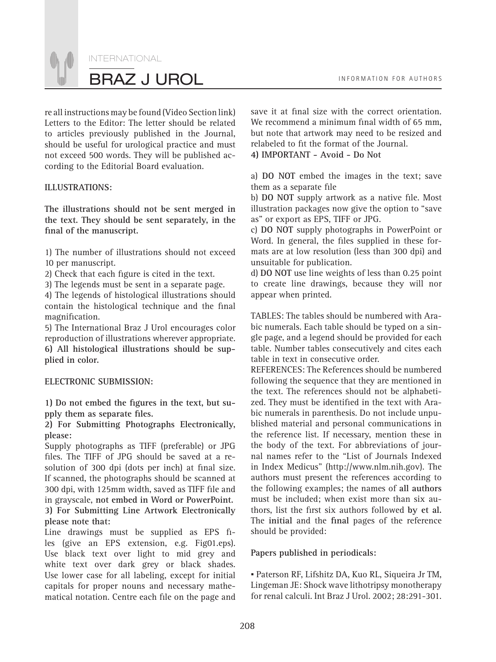INTERNATIONAL BRAZ J UROL **INFORMATION FOR AUTHORS** 

re all instructions may be found (Video Section link) Letters to the Editor: The letter should be related to articles previously published in the Journal, should be useful for urological practice and must not exceed 500 words. They will be published according to the Editorial Board evaluation.

### **ILLUSTRATIONS:**

**The illustrations should not be sent merged in the text. They should be sent separately, in the**  final of the manuscript.

1) The number of illustrations should not exceed 10 per manuscript.

2) Check that each figure is cited in the text.

3) The legends must be sent in a separate page.

4) The legends of histological illustrations should contain the histological technique and the final magnification.

5) The International Braz J Urol encourages color reproduction of illustrations wherever appropriate. **6) All histological illustrations should be supplied in color.** 

#### **ELECTRONIC SUBMISSION:**

1) Do not embed the figures in the text, but supply them as separate files.

**2) For Submitting Photographs Electronically, please:**

Supply photographs as TIFF (preferable) or JPG files. The TIFF of JPG should be saved at a resolution of 300 dpi (dots per inch) at final size. If scanned, the photographs should be scanned at 300 dpi, with 125mm width, saved as TIFF file and in grayscale, **not embed in Word or PowerPoint. 3) For Submitting Line Artwork Electronically please note that:**

Line drawings must be supplied as EPS files (give an EPS extension, e.g. Fig01.eps). Use black text over light to mid grey and white text over dark grey or black shades. Use lower case for all labeling, except for initial capitals for proper nouns and necessary mathematical notation. Centre each file on the page and save it at final size with the correct orientation. We recommend a minimum final width of 65 mm, but note that artwork may need to be resized and relabeled to fit the format of the Journal.

**4) IMPORTANT - Avoid - Do Not**

a) **DO NOT** embed the images in the text; save them as a separate file

b) DO NOT supply artwork as a native file. Most illustration packages now give the option to "save as" or export as EPS, TIFF or JPG.

c) **DO NOT** supply photographs in PowerPoint or Word. In general, the files supplied in these formats are at low resolution (less than 300 dpi) and unsuitable for publication.

d) **DO NOT** use line weights of less than 0.25 point to create line drawings, because they will nor appear when printed.

TABLES: The tables should be numbered with Arabic numerals. Each table should be typed on a single page, and a legend should be provided for each table. Number tables consecutively and cites each table in text in consecutive order.

REFERENCES: The References should be numbered following the sequence that they are mentioned in the text. The references should not be alphabetized. They must be identified in the text with Arabic numerals in parenthesis. Do not include unpublished material and personal communications in the reference list. If necessary, mention these in the body of the text. For abbreviations of journal names refer to the "List of Journals Indexed in Index Medicus" (http://www.nlm.nih.gov). The authors must present the references according to the following examples; the names of **all authors** must be included; when exist more than six authors, list the first six authors followed by et al. The **initial** and the final pages of the reference should be provided:

#### **Papers published in periodicals:**

*▪* Paterson RF, Lifshitz DA, Kuo RL, Siqueira Jr TM, Lingeman JE: Shock wave lithotripsy monotherapy for renal calculi. Int Braz J Urol. 2002; 28:291-301.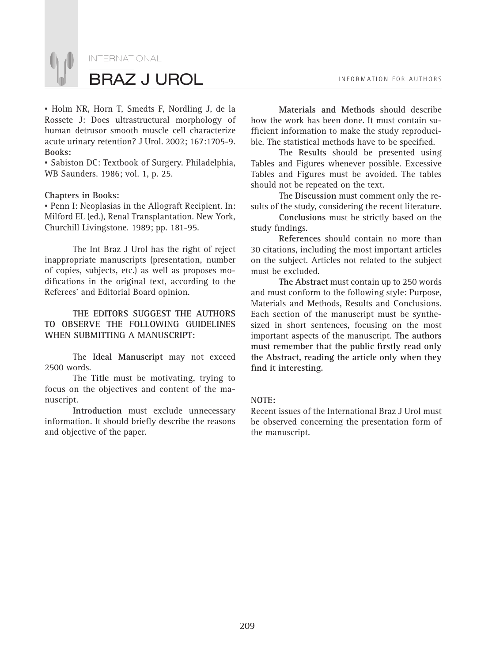

*▪* Holm NR, Horn T, Smedts F, Nordling J, de la Rossete J: Does ultrastructural morphology of human detrusor smooth muscle cell characterize acute urinary retention? J Urol. 2002; 167:1705-9. **Books:**

*▪* Sabiston DC: Textbook of Surgery. Philadelphia, WB Saunders. 1986; vol. 1, p. 25.

#### **Chapters in Books:**

*▪* Penn I: Neoplasias in the Allograft Recipient. In: Milford EL (ed.), Renal Transplantation. New York, Churchill Livingstone. 1989; pp. 181-95.

The Int Braz J Urol has the right of reject inappropriate manuscripts (presentation, number of copies, subjects, etc.) as well as proposes modifications in the original text, according to the Referees' and Editorial Board opinion.

**THE EDITORS SUGGEST THE AUTHORS TO OBSERVE THE FOLLOWING GUIDELINES WHEN SUBMITTING A MANUSCRIPT:**

The **Ideal Manuscript** may not exceed 2500 words.

The **Title** must be motivating, trying to focus on the objectives and content of the manuscript.

**Introduction** must exclude unnecessary information. It should briefly describe the reasons and objective of the paper.

**Materials and Methods** should describe how the work has been done. It must contain sufficient information to make the study reproducible. The statistical methods have to be specified.

The **Results** should be presented using Tables and Figures whenever possible. Excessive Tables and Figures must be avoided. The tables should not be repeated on the text.

The **Discussion** must comment only the results of the study, considering the recent literature.

**Conclusions** must be strictly based on the study findings.

**References** should contain no more than 30 citations, including the most important articles on the subject. Articles not related to the subject must be excluded.

**The Abstract** must contain up to 250 words and must conform to the following style: Purpose, Materials and Methods, Results and Conclusions. Each section of the manuscript must be synthesized in short sentences, focusing on the most important aspects of the manuscript. **The authors**  must remember that the public firstly read only **the Abstract, reading the article only when they**  find it interesting.

#### **NOTE:**

Recent issues of the International Braz J Urol must be observed concerning the presentation form of the manuscript.